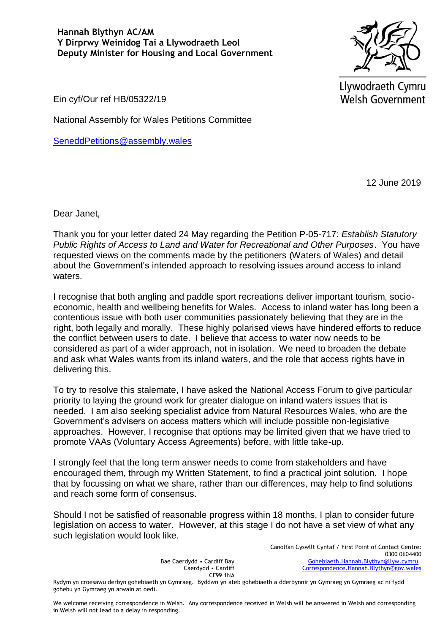**Hannah Blythyn AC/AM Y Dirprwy Weinidog Tai a Llywodraeth Leol Deputy Minister for Housing and Local Government**



Llywodraeth Cymru **Welsh Government** 

Ein cyf/Our ref HB/05322/19

National Assembly for Wales Petitions Committee

[SeneddPetitions@assembly.wales](mailto:SeneddPetitions@assembly.wales)

12 June 2019

Dear Janet,

Thank you for your letter dated 24 May regarding the Petition P-05-717: *Establish Statutory Public Rights of Access to Land and Water for Recreational and Other Purposes*. You have requested views on the comments made by the petitioners (Waters of Wales) and detail about the Government's intended approach to resolving issues around access to inland waters.

I recognise that both angling and paddle sport recreations deliver important tourism, socioeconomic, health and wellbeing benefits for Wales. Access to inland water has long been a contentious issue with both user communities passionately believing that they are in the right, both legally and morally. These highly polarised views have hindered efforts to reduce the conflict between users to date. I believe that access to water now needs to be considered as part of a wider approach, not in isolation. We need to broaden the debate and ask what Wales wants from its inland waters, and the role that access rights have in delivering this.

To try to resolve this stalemate, I have asked the National Access Forum to give particular priority to laying the ground work for greater dialogue on inland waters issues that is needed. I am also seeking specialist advice from Natural Resources Wales, who are the Government's advisers on access matters which will include possible non-legislative approaches. However, I recognise that options may be limited given that we have tried to promote VAAs (Voluntary Access Agreements) before, with little take-up.

I strongly feel that the long term answer needs to come from stakeholders and have encouraged them, through my Written Statement, to find a practical joint solution. I hope that by focussing on what we share, rather than our differences, may help to find solutions and reach some form of consensus.

Should I not be satisfied of reasonable progress within 18 months, I plan to consider future legislation on access to water. However, at this stage I do not have a set view of what any such legislation would look like.

> Bae Caerdydd • Cardiff Bay Caerdydd • Cardiff CF99 1NA

Canolfan Cyswllt Cyntaf / First Point of Contact Centre: 0300 0604400 [Gohebiaeth.Hannah.Blythyn@llyw.cymru](mailto:Gohebiaeth.Hannah.Blythyn@llyw.cymru) [Correspondence.Hannah.Blythyn@gov.wales](mailto:Correspondence.Hannah.Blythyn@gov.wales)

Rydym yn croesawu derbyn gohebiaeth yn Gymraeg. Byddwn yn ateb gohebiaeth a dderbynnir yn Gymraeg yn Gymraeg ac ni fydd gohebu yn Gymraeg yn arwain at oedi.

We welcome receiving correspondence in Welsh. Any correspondence received in Welsh will be answered in Welsh and corresponding in Welsh will not lead to a delay in responding.